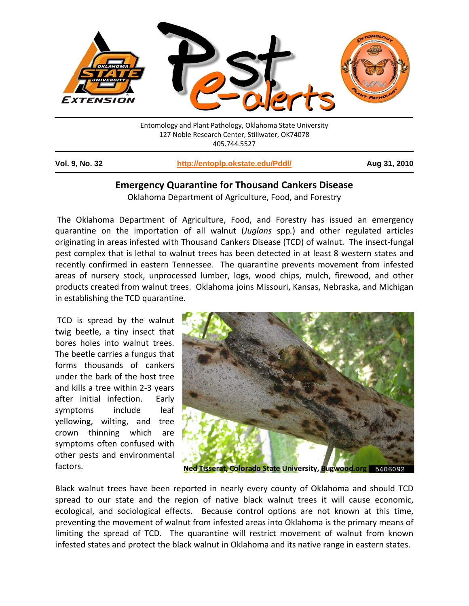

| <b>Vol. 9, No. 32</b> | http://entoplp.okstate.edu/Pddl/ | Aug 31, 2010 |
|-----------------------|----------------------------------|--------------|
|                       |                                  |              |

# **Emergency Quarantine for Thousand Cankers Disease**

Oklahoma Department of Agriculture, Food, and Forestry

The Oklahoma Department of Agriculture, Food, and Forestry has issued an emergency quarantine on the importation of all walnut (*Juglans* spp*.*) and other regulated articles originating in areas infested with Thousand Cankers Disease (TCD) of walnut. The insect‐fungal pest complex that is lethal to walnut trees has been detected in at least 8 western states and recently confirmed in eastern Tennessee. The quarantine prevents movement from infested areas of nursery stock, unprocessed lumber, logs, wood chips, mulch, firewood, and other products created from walnut trees. Oklahoma joins Missouri, Kansas, Nebraska, and Michigan in establishing the TCD quarantine.

TCD is spread by the walnut twig beetle, a tiny insect that bores holes into walnut trees. The beetle carries a fungus that forms thousands of cankers under the bark of the host tree and kills a tree within 2‐3 years after initial infection. Early symptoms include leaf yellowing, wilting, and tree crown thinning which are symptoms often confused with other pests and environmental factors.



Ned Tisserat, Colorado State University, Bugwood.org 5406092

Black walnut trees have been reported in nearly every county of Oklahoma and should TCD spread to our state and the region of native black walnut trees it will cause economic, ecological, and sociological effects. Because control options are not known at this time, preventing the movement of walnut from infested areas into Oklahoma is the primary means of limiting the spread of TCD. The quarantine will restrict movement of walnut from known infested states and protect the black walnut in Oklahoma and its native range in eastern states.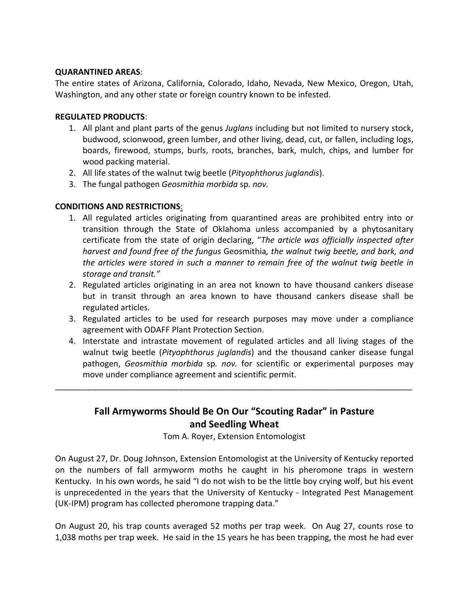#### **QUARANTINED AREAS**:

The entire states of Arizona, California, Colorado, Idaho, Nevada, New Mexico, Oregon, Utah, Washington, and any other state or foreign country known to be infested.

### **REGULATED PRODUCTS**:

- 1. All plant and plant parts of the genus *Juglans* including but not limited to nursery stock, budwood, scionwood, green lumber, and other living, dead, cut, or fallen, including logs, boards, firewood, stumps, burls, roots, branches, bark, mulch, chips, and lumber for wood packing material.
- 2. All life states of the walnut twig beetle (*Pityophthorus juglandis*).
- 3. The fungal pathogen *Geosmithia morbida* sp*. nov.*

## **CONDITIONS AND RESTRICTIONS**:

- 1. All regulated articles originating from quarantined areas are prohibited entry into or transition through the State of Oklahoma unless accompanied by a phytosanitary certificate from the state of origin declaring, "*The article was officially inspected after harvest and found free of the fungus* Geosmithia*, the walnut twig beetle, and bark, and the articles were stored in such a manner to remain free of the walnut twig beetle in storage and transit."*
- 2. Regulated articles originating in an area not known to have thousand cankers disease but in transit through an area known to have thousand cankers disease shall be regulated articles.
- 3. Regulated articles to be used for research purposes may move under a compliance agreement with ODAFF Plant Protection Section.
- 4. Interstate and intrastate movement of regulated articles and all living stages of the walnut twig beetle (*Pityophthorus juglandis*) and the thousand canker disease fungal pathogen, *Geosmithia morbida* sp*. nov.* for scientific or experimental purposes may move under compliance agreement and scientific permit.

# **Fall Armyworms Should Be On Our "Scouting Radar" in Pasture and Seedling Wheat**

\_\_\_\_\_\_\_\_\_\_\_\_\_\_\_\_\_\_\_\_\_\_\_\_\_\_\_\_\_\_\_\_\_\_\_\_\_\_\_\_\_\_\_\_\_\_\_\_\_\_\_\_\_\_\_\_\_\_\_\_\_\_\_\_\_\_\_\_\_\_\_\_\_\_\_\_\_\_

Tom A. Royer, Extension Entomologist

On August 27, Dr. Doug Johnson, Extension Entomologist at the University of Kentucky reported on the numbers of fall armyworm moths he caught in his pheromone traps in western Kentucky. In his own words, he said "I do not wish to be the little boy crying wolf, but his event is unprecedented in the years that the University of Kentucky - Integrated Pest Management (UK‐IPM) program has collected pheromone trapping data."

On August 20, his trap counts averaged 52 moths per trap week. On Aug 27, counts rose to 1,038 moths per trap week. He said in the 15 years he has been trapping, the most he had ever